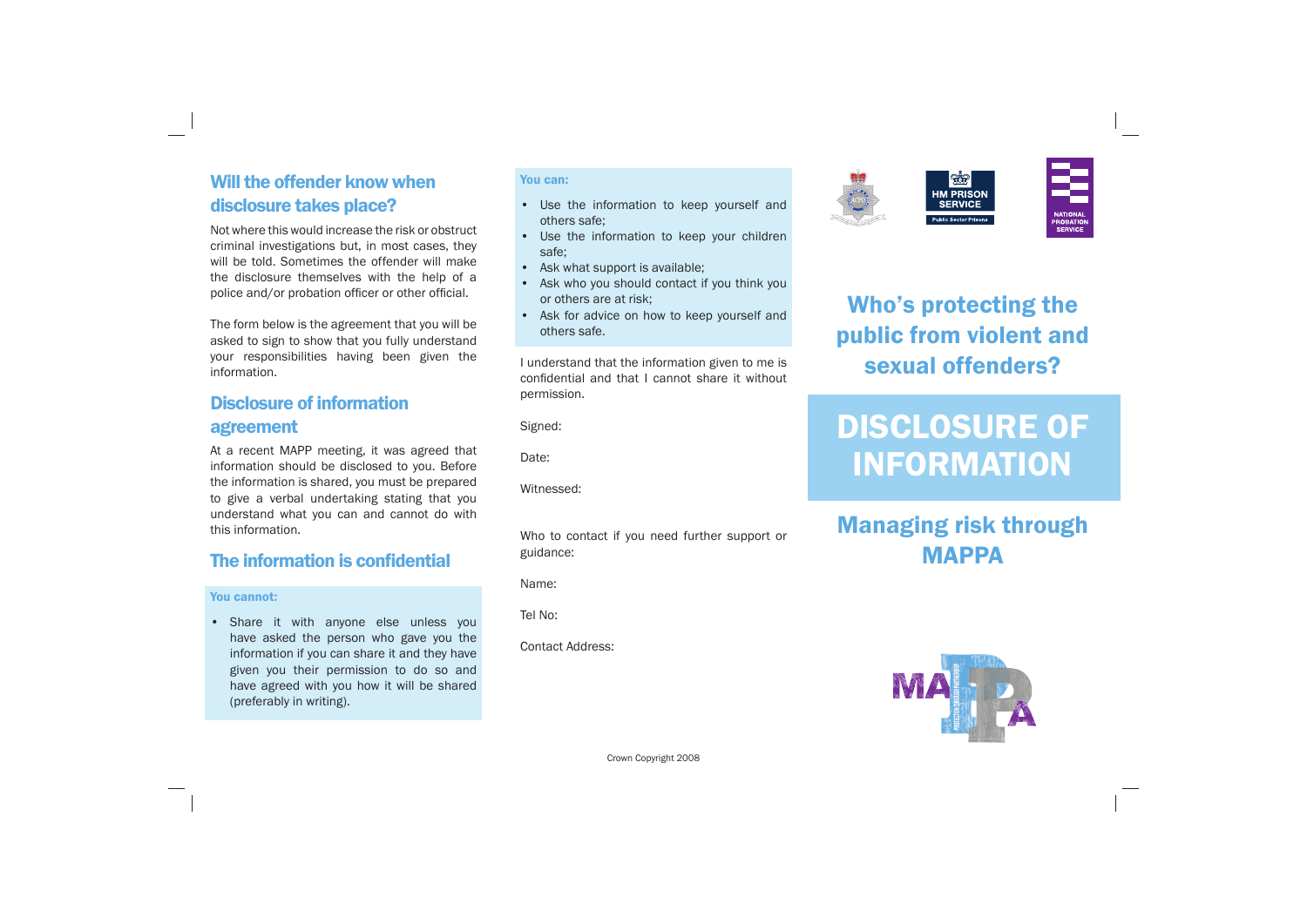## Will the offender know when disclosure takes place?

Not where this would increase the risk or obstruct criminal investigations but, in most cases, they will be told. Sometimes the offender will make the disclosure themselves with the help of a police and/or probation officer or other official.

The form below is the agreement that you will be asked to sign to show that you fully understand your responsibilities having been given the information.

## Disclosure of information agreement

At a recent MAPP meeting, it was agreed that information should be disclosed to you. Before the information is shared, you must be prepared to give a verbal undertaking stating that you understand what you can and cannot do with this information.

### The information is confidential

#### You cannot:

## Managing risk through **MAPPA**



• Share it with anyone else unless you have asked the person who gave you the information if you can share it and they have given you their permission to do so and have agreed with you how it will be shared (preferably in writing).

### You can:

- Use the information to keep yourself and others safe;
- Use the information to keep your children safe;
- Ask what support is available;
- Ask who you should contact if you think you or others are at risk;
- Ask for advice on how to keep yourself and others safe.

I understand that the information given to me is confidential and that I cannot share it without permission.

Signed:

Date:

Witnessed:

Who to contact if you need further support or guidance:

Name:

Tel No:

Contact Address:



Crown Copyright 2008



# Who's protecting the public from violent and sexual offenders?

**SERVICE** 

# DISCLOSURE OF INFORMATION